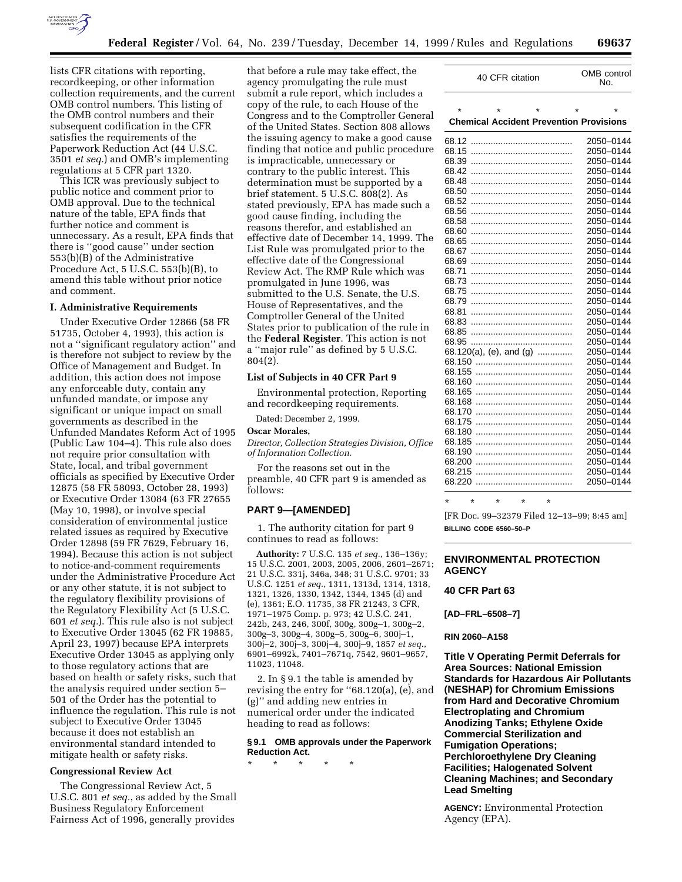

lists CFR citations with reporting, recordkeeping, or other information collection requirements, and the current OMB control numbers. This listing of the OMB control numbers and their subsequent codification in the CFR satisfies the requirements of the Paperwork Reduction Act (44 U.S.C. 3501 *et seq.*) and OMB's implementing regulations at 5 CFR part 1320.

This ICR was previously subject to public notice and comment prior to OMB approval. Due to the technical nature of the table, EPA finds that further notice and comment is unnecessary. As a result, EPA finds that there is ''good cause'' under section 553(b)(B) of the Administrative Procedure Act, 5 U.S.C. 553(b)(B), to amend this table without prior notice and comment.

#### **I. Administrative Requirements**

Under Executive Order 12866 (58 FR 51735, October 4, 1993), this action is not a ''significant regulatory action'' and is therefore not subject to review by the Office of Management and Budget. In addition, this action does not impose any enforceable duty, contain any unfunded mandate, or impose any significant or unique impact on small governments as described in the Unfunded Mandates Reform Act of 1995 (Public Law 104–4). This rule also does not require prior consultation with State, local, and tribal government officials as specified by Executive Order 12875 (58 FR 58093, October 28, 1993) or Executive Order 13084 (63 FR 27655 (May 10, 1998), or involve special consideration of environmental justice related issues as required by Executive Order 12898 (59 FR 7629, February 16, 1994). Because this action is not subject to notice-and-comment requirements under the Administrative Procedure Act or any other statute, it is not subject to the regulatory flexibility provisions of the Regulatory Flexibility Act (5 U.S.C. 601 *et seq.*). This rule also is not subject to Executive Order 13045 (62 FR 19885, April 23, 1997) because EPA interprets Executive Order 13045 as applying only to those regulatory actions that are based on health or safety risks, such that the analysis required under section 5– 501 of the Order has the potential to influence the regulation. This rule is not subject to Executive Order 13045 because it does not establish an environmental standard intended to mitigate health or safety risks.

### **Congressional Review Act**

The Congressional Review Act, 5 U.S.C. 801 *et seq.*, as added by the Small Business Regulatory Enforcement Fairness Act of 1996, generally provides

that before a rule may take effect, the agency promulgating the rule must submit a rule report, which includes a copy of the rule, to each House of the Congress and to the Comptroller General of the United States. Section 808 allows the issuing agency to make a good cause finding that notice and public procedure is impracticable, unnecessary or contrary to the public interest. This determination must be supported by a brief statement. 5 U.S.C. 808(2). As stated previously, EPA has made such a good cause finding, including the reasons therefor, and established an effective date of December 14, 1999. The List Rule was promulgated prior to the effective date of the Congressional Review Act. The RMP Rule which was promulgated in June 1996, was submitted to the U.S. Senate, the U.S. House of Representatives, and the Comptroller General of the United States prior to publication of the rule in the **Federal Register**. This action is not a ''major rule'' as defined by 5 U.S.C. 804(2).

### **List of Subjects in 40 CFR Part 9**

Environmental protection, Reporting and recordkeeping requirements.

Dated: December 2, 1999.

#### **Oscar Morales,**

*Director, Collection Strategies Division, Office of Information Collection.*

For the reasons set out in the preamble, 40 CFR part 9 is amended as follows:

### **PART 9—[AMENDED]**

1. The authority citation for part 9 continues to read as follows:

**Authority:** 7 U.S.C. 135 *et seq.*, 136–136y; 15 U.S.C. 2001, 2003, 2005, 2006, 2601–2671; 21 U.S.C. 331j, 346a, 348; 31 U.S.C. 9701; 33 U.S.C. 1251 *et seq.*, 1311, 1313d, 1314, 1318, 1321, 1326, 1330, 1342, 1344, 1345 (d) and (e), 1361; E.O. 11735, 38 FR 21243, 3 CFR, 1971–1975 Comp. p. 973; 42 U.S.C. 241, 242b, 243, 246, 300f, 300g, 300g–1, 300g–2, 300g–3, 300g–4, 300g–5, 300g–6, 300j–1, 300j–2, 300j–3, 300j–4, 300j–9, 1857 *et seq.*, 6901–6992k, 7401–7671q, 7542, 9601–9657, 11023, 11048.

2. In § 9.1 the table is amended by revising the entry for ''68.120(a), (e), and (g)'' and adding new entries in numerical order under the indicated heading to read as follows:

# **§ 9.1 OMB approvals under the Paperwork Reduction Act.**

\* \* \* \* \*

| 40 CFR citation                                | OMB control<br>No. |  |  |
|------------------------------------------------|--------------------|--|--|
|                                                |                    |  |  |
| <b>Chemical Accident Prevention Provisions</b> |                    |  |  |
| 68.12                                          | 2050-0144          |  |  |
| 68.15                                          | 2050-0144          |  |  |
| 68.39                                          | 2050-0144          |  |  |
| 68.42                                          | 2050–0144          |  |  |
| 68.48                                          | 2050-0144          |  |  |
| 68.50                                          | 2050-0144          |  |  |
| 68.52                                          | 2050-0144          |  |  |
| 68.56                                          | 2050-0144          |  |  |
| 68.58                                          | 2050-0144          |  |  |
| 68.60                                          | 2050-0144          |  |  |
| 68.65                                          | 2050-0144          |  |  |
| 68.67                                          | 2050-0144          |  |  |
| 68.69                                          | 2050-0144          |  |  |
| 68.71                                          | 2050-0144          |  |  |
| 68.73                                          | 2050-0144          |  |  |
| 68.75                                          | 2050-0144          |  |  |
| 68.79                                          | 2050-0144          |  |  |
| 68.81                                          | 2050-0144          |  |  |
| 68.83                                          | 2050-0144          |  |  |
| 68.85                                          | 2050-0144          |  |  |
| 68.95                                          | 2050-0144          |  |  |
| 68.120(a), (e), and (g)                        | 2050-0144          |  |  |
| 68.150                                         | 2050-0144          |  |  |
| 68.155                                         | 2050-0144          |  |  |
| 68.160                                         | 2050-0144          |  |  |
| 68.165                                         | 2050-0144          |  |  |
| 68.168                                         | 2050-0144          |  |  |
| 68.170                                         | 2050-0144          |  |  |
| 68.175                                         | 2050-0144          |  |  |
| 68.180                                         | 2050-0144          |  |  |
| 68.185                                         | 2050-0144          |  |  |
| 68.190                                         | 2050-0144          |  |  |
| 68.200                                         | 2050-0144          |  |  |
| 68.215                                         | 2050-0144          |  |  |
| 68.220                                         | 2050-0144          |  |  |

\* \* \* \* \*

[FR Doc. 99–32379 Filed 12–13–99; 8:45 am] **BILLING CODE 6560–50–P**

# **ENVIRONMENTAL PROTECTION AGENCY**

### **40 CFR Part 63**

**[AD–FRL–6508–7]**

#### **RIN 2060–A158**

**Title V Operating Permit Deferrals for Area Sources: National Emission Standards for Hazardous Air Pollutants (NESHAP) for Chromium Emissions from Hard and Decorative Chromium Electroplating and Chromium Anodizing Tanks; Ethylene Oxide Commercial Sterilization and Fumigation Operations; Perchloroethylene Dry Cleaning Facilities; Halogenated Solvent Cleaning Machines; and Secondary Lead Smelting**

**AGENCY:** Environmental Protection Agency (EPA).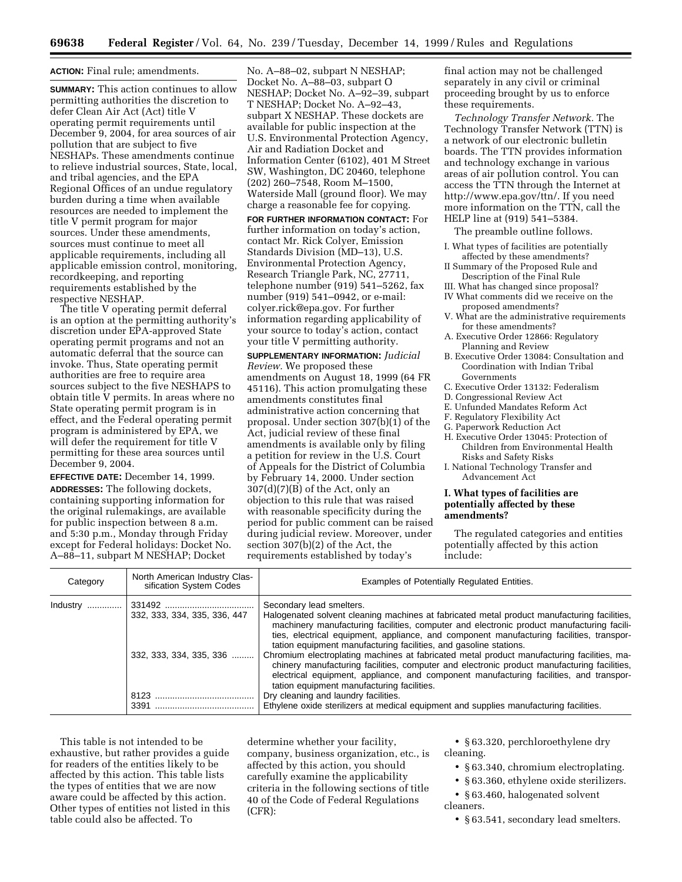#### **ACTION:** Final rule; amendments.

**SUMMARY:** This action continues to allow permitting authorities the discretion to defer Clean Air Act (Act) title V operating permit requirements until December 9, 2004, for area sources of air pollution that are subject to five NESHAPs. These amendments continue to relieve industrial sources, State, local, and tribal agencies, and the EPA Regional Offices of an undue regulatory burden during a time when available resources are needed to implement the title V permit program for major sources. Under these amendments, sources must continue to meet all applicable requirements, including all applicable emission control, monitoring, recordkeeping, and reporting requirements established by the respective NESHAP.

The title V operating permit deferral is an option at the permitting authority's discretion under EPA-approved State operating permit programs and not an automatic deferral that the source can invoke. Thus, State operating permit authorities are free to require area sources subject to the five NESHAPS to obtain title V permits. In areas where no State operating permit program is in effect, and the Federal operating permit program is administered by EPA, we will defer the requirement for title V permitting for these area sources until December 9, 2004.

**EFFECTIVE DATE:** December 14, 1999. **ADDRESSES:** The following dockets, containing supporting information for the original rulemakings, are available for public inspection between 8 a.m. and 5:30 p.m., Monday through Friday except for Federal holidays: Docket No. A–88–11, subpart M NESHAP; Docket

No. A–88–02, subpart N NESHAP; Docket No. A–88–03, subpart O NESHAP; Docket No. A–92–39, subpart T NESHAP; Docket No. A–92–43, subpart X NESHAP. These dockets are available for public inspection at the U.S. Environmental Protection Agency, Air and Radiation Docket and Information Center (6102), 401 M Street SW, Washington, DC 20460, telephone (202) 260–7548, Room M–1500, Waterside Mall (ground floor). We may charge a reasonable fee for copying.

**FOR FURTHER INFORMATION CONTACT:** For further information on today's action, contact Mr. Rick Colyer, Emission Standards Division (MD–13), U.S. Environmental Protection Agency, Research Triangle Park, NC, 27711, telephone number (919) 541–5262, fax number (919) 541–0942, or e-mail: colyer.rick@epa.gov. For further information regarding applicability of your source to today's action, contact your title V permitting authority.

**SUPPLEMENTARY INFORMATION:** *Judicial Review.* We proposed these amendments on August 18, 1999 (64 FR 45116). This action promulgating these amendments constitutes final administrative action concerning that proposal. Under section 307(b)(1) of the Act, judicial review of these final amendments is available only by filing a petition for review in the U.S. Court of Appeals for the District of Columbia by February 14, 2000. Under section  $307(d)(7)(B)$  of the Act, only an objection to this rule that was raised with reasonable specificity during the period for public comment can be raised during judicial review. Moreover, under section 307(b)(2) of the Act, the requirements established by today's

final action may not be challenged separately in any civil or criminal proceeding brought by us to enforce these requirements.

*Technology Transfer Network.* The Technology Transfer Network (TTN) is a network of our electronic bulletin boards. The TTN provides information and technology exchange in various areas of air pollution control. You can access the TTN through the Internet at http://www.epa.gov/ttn/. If you need more information on the TTN, call the HELP line at (919) 541–5384.

The preamble outline follows.

- I. What types of facilities are potentially affected by these amendments?
- II Summary of the Proposed Rule and Description of the Final Rule
- III. What has changed since proposal? IV What comments did we receive on the
- proposed amendments?
- V. What are the administrative requirements for these amendments?
- A. Executive Order 12866: Regulatory Planning and Review
- B. Executive Order 13084: Consultation and Coordination with Indian Tribal Governments
- C. Executive Order 13132: Federalism
- D. Congressional Review Act
- E. Unfunded Mandates Reform Act
- F. Regulatory Flexibility Act
- G. Paperwork Reduction Act
- H. Executive Order 13045: Protection of Children from Environmental Health Risks and Safety Risks
- I. National Technology Transfer and Advancement Act

#### **I. What types of facilities are potentially affected by these amendments?**

The regulated categories and entities potentially affected by this action include:

| Category                             | North American Industry Clas-<br>sification System Codes                                                                                                                                                                                                                                                                                                              | Examples of Potentially Regulated Entities.                                                                                                                                                                                                                                                                                                                                                                                                                                         |
|--------------------------------------|-----------------------------------------------------------------------------------------------------------------------------------------------------------------------------------------------------------------------------------------------------------------------------------------------------------------------------------------------------------------------|-------------------------------------------------------------------------------------------------------------------------------------------------------------------------------------------------------------------------------------------------------------------------------------------------------------------------------------------------------------------------------------------------------------------------------------------------------------------------------------|
| 332, 333, 334, 335, 336, 447<br>3391 | 332, 333, 334, 335, 336                                                                                                                                                                                                                                                                                                                                               | Secondary lead smelters.<br>Halogenated solvent cleaning machines at fabricated metal product manufacturing facilities,<br>machinery manufacturing facilities, computer and electronic product manufacturing facili-<br>ties, electrical equipment, appliance, and component manufacturing facilities, transpor-<br>tation equipment manufacturing facilities, and gasoline stations.<br>Chromium electroplating machines at fabricated metal product manufacturing facilities, ma- |
|                                      | chinery manufacturing facilities, computer and electronic product manufacturing facilities,<br>electrical equipment, appliance, and component manufacturing facilities, and transpor-<br>tation equipment manufacturing facilities.<br>Dry cleaning and laundry facilities.<br>Ethylene oxide sterilizers at medical equipment and supplies manufacturing facilities. |                                                                                                                                                                                                                                                                                                                                                                                                                                                                                     |

This table is not intended to be exhaustive, but rather provides a guide for readers of the entities likely to be affected by this action. This table lists the types of entities that we are now aware could be affected by this action. Other types of entities not listed in this table could also be affected. To

determine whether your facility, company, business organization, etc., is affected by this action, you should carefully examine the applicability criteria in the following sections of title 40 of the Code of Federal Regulations (CFR):

• § 63.320, perchloroethylene dry cleaning.

- § 63.340, chromium electroplating.
- § 63.360, ethylene oxide sterilizers.

• § 63.460, halogenated solvent cleaners.

• § 63.541, secondary lead smelters.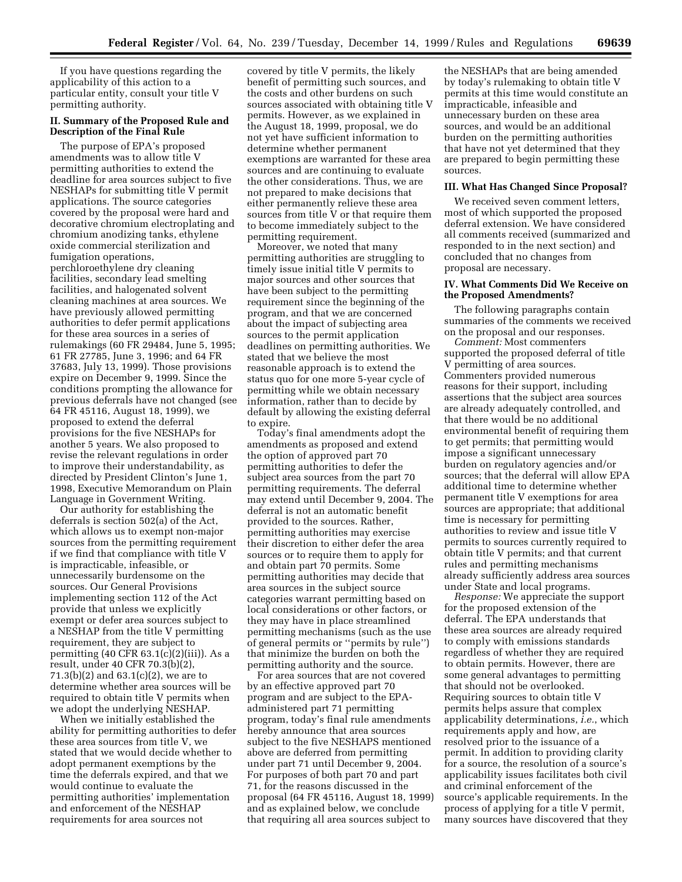If you have questions regarding the applicability of this action to a particular entity, consult your title V permitting authority.

# **II. Summary of the Proposed Rule and Description of the Final Rule**

The purpose of EPA's proposed amendments was to allow title V permitting authorities to extend the deadline for area sources subject to five NESHAPs for submitting title V permit applications. The source categories covered by the proposal were hard and decorative chromium electroplating and chromium anodizing tanks, ethylene oxide commercial sterilization and fumigation operations, perchloroethylene dry cleaning facilities, secondary lead smelting facilities, and halogenated solvent cleaning machines at area sources. We have previously allowed permitting authorities to defer permit applications for these area sources in a series of rulemakings (60 FR 29484, June 5, 1995; 61 FR 27785, June 3, 1996; and 64 FR 37683, July 13, 1999). Those provisions expire on December 9, 1999. Since the conditions prompting the allowance for previous deferrals have not changed (see 64 FR 45116, August 18, 1999), we proposed to extend the deferral provisions for the five NESHAPs for another 5 years. We also proposed to revise the relevant regulations in order to improve their understandability, as directed by President Clinton's June 1, 1998, Executive Memorandum on Plain Language in Government Writing.

Our authority for establishing the deferrals is section 502(a) of the Act, which allows us to exempt non-major sources from the permitting requirement if we find that compliance with title V is impracticable, infeasible, or unnecessarily burdensome on the sources. Our General Provisions implementing section 112 of the Act provide that unless we explicitly exempt or defer area sources subject to a NESHAP from the title V permitting requirement, they are subject to permitting (40 CFR 63.1(c)(2)(iii)). As a result, under 40 CFR 70.3(b)(2), 71.3(b)(2) and 63.1(c)(2), we are to determine whether area sources will be required to obtain title V permits when we adopt the underlying NESHAP.

When we initially established the ability for permitting authorities to defer these area sources from title V, we stated that we would decide whether to adopt permanent exemptions by the time the deferrals expired, and that we would continue to evaluate the permitting authorities' implementation and enforcement of the NESHAP requirements for area sources not

covered by title V permits, the likely benefit of permitting such sources, and the costs and other burdens on such sources associated with obtaining title V permits. However, as we explained in the August 18, 1999, proposal, we do not yet have sufficient information to determine whether permanent exemptions are warranted for these area sources and are continuing to evaluate the other considerations. Thus, we are not prepared to make decisions that either permanently relieve these area sources from title V or that require them to become immediately subject to the permitting requirement.

Moreover, we noted that many permitting authorities are struggling to timely issue initial title V permits to major sources and other sources that have been subject to the permitting requirement since the beginning of the program, and that we are concerned about the impact of subjecting area sources to the permit application deadlines on permitting authorities. We stated that we believe the most reasonable approach is to extend the status quo for one more 5-year cycle of permitting while we obtain necessary information, rather than to decide by default by allowing the existing deferral to expire.

Today's final amendments adopt the amendments as proposed and extend the option of approved part 70 permitting authorities to defer the subject area sources from the part 70 permitting requirements. The deferral may extend until December 9, 2004. The deferral is not an automatic benefit provided to the sources. Rather, permitting authorities may exercise their discretion to either defer the area sources or to require them to apply for and obtain part 70 permits. Some permitting authorities may decide that area sources in the subject source categories warrant permitting based on local considerations or other factors, or they may have in place streamlined permitting mechanisms (such as the use of general permits or ''permits by rule'') that minimize the burden on both the permitting authority and the source.

For area sources that are not covered by an effective approved part 70 program and are subject to the EPAadministered part 71 permitting program, today's final rule amendments hereby announce that area sources subject to the five NESHAPS mentioned above are deferred from permitting under part 71 until December 9, 2004. For purposes of both part 70 and part 71, for the reasons discussed in the proposal (64 FR 45116, August 18, 1999) and as explained below, we conclude that requiring all area sources subject to

the NESHAPs that are being amended by today's rulemaking to obtain title V permits at this time would constitute an impracticable, infeasible and unnecessary burden on these area sources, and would be an additional burden on the permitting authorities that have not yet determined that they are prepared to begin permitting these sources.

#### **III. What Has Changed Since Proposal?**

We received seven comment letters, most of which supported the proposed deferral extension. We have considered all comments received (summarized and responded to in the next section) and concluded that no changes from proposal are necessary.

#### **IV. What Comments Did We Receive on the Proposed Amendments?**

The following paragraphs contain summaries of the comments we received on the proposal and our responses.

*Comment:* Most commenters supported the proposed deferral of title V permitting of area sources. Commenters provided numerous reasons for their support, including assertions that the subject area sources are already adequately controlled, and that there would be no additional environmental benefit of requiring them to get permits; that permitting would impose a significant unnecessary burden on regulatory agencies and/or sources; that the deferral will allow EPA additional time to determine whether permanent title V exemptions for area sources are appropriate; that additional time is necessary for permitting authorities to review and issue title V permits to sources currently required to obtain title V permits; and that current rules and permitting mechanisms already sufficiently address area sources under State and local programs.

*Response:* We appreciate the support for the proposed extension of the deferral. The EPA understands that these area sources are already required to comply with emissions standards regardless of whether they are required to obtain permits. However, there are some general advantages to permitting that should not be overlooked. Requiring sources to obtain title V permits helps assure that complex applicability determinations, *i.e.*, which requirements apply and how, are resolved prior to the issuance of a permit. In addition to providing clarity for a source, the resolution of a source's applicability issues facilitates both civil and criminal enforcement of the source's applicable requirements. In the process of applying for a title V permit, many sources have discovered that they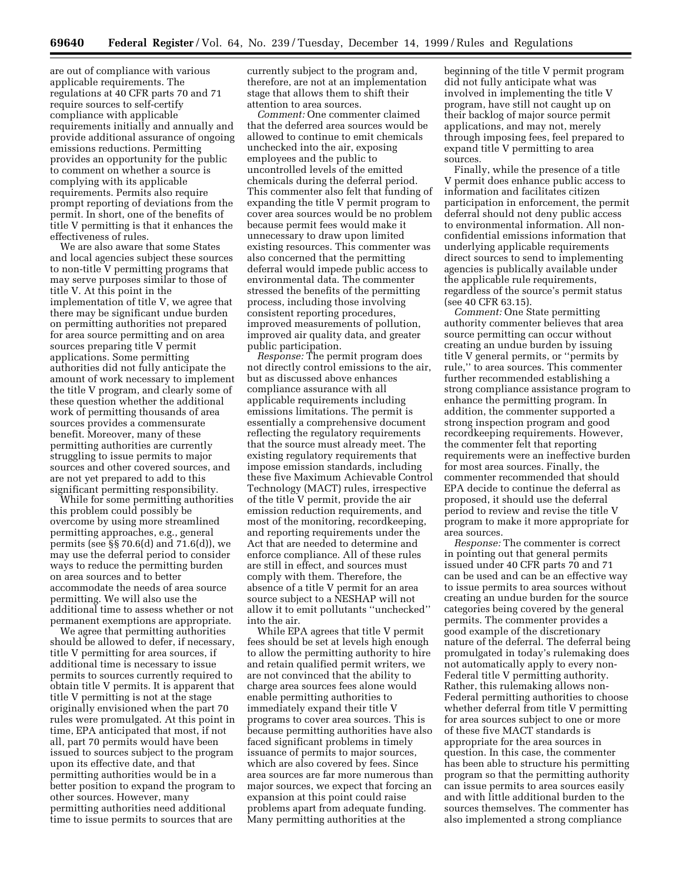are out of compliance with various applicable requirements. The regulations at 40 CFR parts 70 and 71 require sources to self-certify compliance with applicable requirements initially and annually and provide additional assurance of ongoing emissions reductions. Permitting provides an opportunity for the public to comment on whether a source is complying with its applicable requirements. Permits also require prompt reporting of deviations from the permit. In short, one of the benefits of title V permitting is that it enhances the effectiveness of rules.

We are also aware that some States and local agencies subject these sources to non-title V permitting programs that may serve purposes similar to those of title V. At this point in the implementation of title V, we agree that there may be significant undue burden on permitting authorities not prepared for area source permitting and on area sources preparing title V permit applications. Some permitting authorities did not fully anticipate the amount of work necessary to implement the title V program, and clearly some of these question whether the additional work of permitting thousands of area sources provides a commensurate benefit. Moreover, many of these permitting authorities are currently struggling to issue permits to major sources and other covered sources, and are not yet prepared to add to this significant permitting responsibility.

While for some permitting authorities this problem could possibly be overcome by using more streamlined permitting approaches, e.g., general permits (see §§ 70.6(d) and 71.6(d)), we may use the deferral period to consider ways to reduce the permitting burden on area sources and to better accommodate the needs of area source permitting. We will also use the additional time to assess whether or not permanent exemptions are appropriate.

We agree that permitting authorities should be allowed to defer, if necessary, title V permitting for area sources, if additional time is necessary to issue permits to sources currently required to obtain title V permits. It is apparent that title V permitting is not at the stage originally envisioned when the part 70 rules were promulgated. At this point in time, EPA anticipated that most, if not all, part 70 permits would have been issued to sources subject to the program upon its effective date, and that permitting authorities would be in a better position to expand the program to other sources. However, many permitting authorities need additional time to issue permits to sources that are

currently subject to the program and, therefore, are not at an implementation stage that allows them to shift their attention to area sources.

*Comment:* One commenter claimed that the deferred area sources would be allowed to continue to emit chemicals unchecked into the air, exposing employees and the public to uncontrolled levels of the emitted chemicals during the deferral period. This commenter also felt that funding of expanding the title V permit program to cover area sources would be no problem because permit fees would make it unnecessary to draw upon limited existing resources. This commenter was also concerned that the permitting deferral would impede public access to environmental data. The commenter stressed the benefits of the permitting process, including those involving consistent reporting procedures, improved measurements of pollution, improved air quality data, and greater public participation.

*Response:* The permit program does not directly control emissions to the air, but as discussed above enhances compliance assurance with all applicable requirements including emissions limitations. The permit is essentially a comprehensive document reflecting the regulatory requirements that the source must already meet. The existing regulatory requirements that impose emission standards, including these five Maximum Achievable Control Technology (MACT) rules, irrespective of the title V permit, provide the air emission reduction requirements, and most of the monitoring, recordkeeping, and reporting requirements under the Act that are needed to determine and enforce compliance. All of these rules are still in effect, and sources must comply with them. Therefore, the absence of a title V permit for an area source subject to a NESHAP will not allow it to emit pollutants ''unchecked'' into the air.

While EPA agrees that title V permit fees should be set at levels high enough to allow the permitting authority to hire and retain qualified permit writers, we are not convinced that the ability to charge area sources fees alone would enable permitting authorities to immediately expand their title V programs to cover area sources. This is because permitting authorities have also faced significant problems in timely issuance of permits to major sources, which are also covered by fees. Since area sources are far more numerous than major sources, we expect that forcing an expansion at this point could raise problems apart from adequate funding. Many permitting authorities at the

beginning of the title V permit program did not fully anticipate what was involved in implementing the title V program, have still not caught up on their backlog of major source permit applications, and may not, merely through imposing fees, feel prepared to expand title V permitting to area sources.

Finally, while the presence of a title V permit does enhance public access to information and facilitates citizen participation in enforcement, the permit deferral should not deny public access to environmental information. All nonconfidential emissions information that underlying applicable requirements direct sources to send to implementing agencies is publically available under the applicable rule requirements, regardless of the source's permit status (see 40 CFR 63.15).

*Comment:* One State permitting authority commenter believes that area source permitting can occur without creating an undue burden by issuing title V general permits, or ''permits by rule,'' to area sources. This commenter further recommended establishing a strong compliance assistance program to enhance the permitting program. In addition, the commenter supported a strong inspection program and good recordkeeping requirements. However, the commenter felt that reporting requirements were an ineffective burden for most area sources. Finally, the commenter recommended that should EPA decide to continue the deferral as proposed, it should use the deferral period to review and revise the title V program to make it more appropriate for area sources.

*Response:* The commenter is correct in pointing out that general permits issued under 40 CFR parts 70 and 71 can be used and can be an effective way to issue permits to area sources without creating an undue burden for the source categories being covered by the general permits. The commenter provides a good example of the discretionary nature of the deferral. The deferral being promulgated in today's rulemaking does not automatically apply to every non-Federal title V permitting authority. Rather, this rulemaking allows non-Federal permitting authorities to choose whether deferral from title V permitting for area sources subject to one or more of these five MACT standards is appropriate for the area sources in question. In this case, the commenter has been able to structure his permitting program so that the permitting authority can issue permits to area sources easily and with little additional burden to the sources themselves. The commenter has also implemented a strong compliance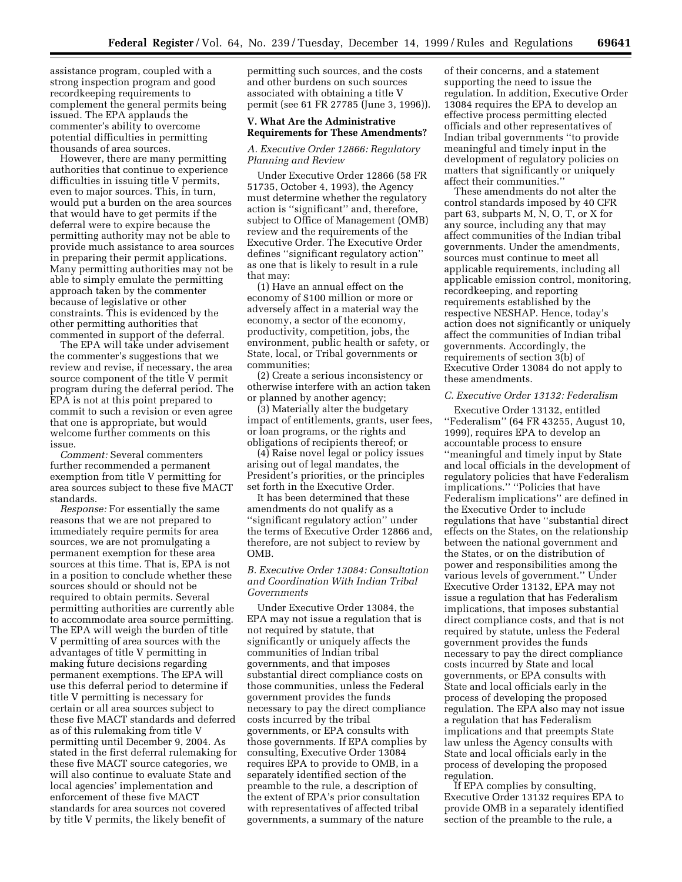assistance program, coupled with a strong inspection program and good recordkeeping requirements to complement the general permits being issued. The EPA applauds the commenter's ability to overcome potential difficulties in permitting thousands of area sources.

However, there are many permitting authorities that continue to experience difficulties in issuing title V permits, even to major sources. This, in turn, would put a burden on the area sources that would have to get permits if the deferral were to expire because the permitting authority may not be able to provide much assistance to area sources in preparing their permit applications. Many permitting authorities may not be able to simply emulate the permitting approach taken by the commenter because of legislative or other constraints. This is evidenced by the other permitting authorities that commented in support of the deferral.

The EPA will take under advisement the commenter's suggestions that we review and revise, if necessary, the area source component of the title V permit program during the deferral period. The EPA is not at this point prepared to commit to such a revision or even agree that one is appropriate, but would welcome further comments on this issue.

*Comment:* Several commenters further recommended a permanent exemption from title V permitting for area sources subject to these five MACT standards.

*Response:* For essentially the same reasons that we are not prepared to immediately require permits for area sources, we are not promulgating a permanent exemption for these area sources at this time. That is, EPA is not in a position to conclude whether these sources should or should not be required to obtain permits. Several permitting authorities are currently able to accommodate area source permitting. The EPA will weigh the burden of title V permitting of area sources with the advantages of title V permitting in making future decisions regarding permanent exemptions. The EPA will use this deferral period to determine if title V permitting is necessary for certain or all area sources subject to these five MACT standards and deferred as of this rulemaking from title V permitting until December 9, 2004. As stated in the first deferral rulemaking for these five MACT source categories, we will also continue to evaluate State and local agencies' implementation and enforcement of these five MACT standards for area sources not covered by title V permits, the likely benefit of

permitting such sources, and the costs and other burdens on such sources associated with obtaining a title V permit (see 61 FR 27785 (June 3, 1996)).

#### **V. What Are the Administrative Requirements for These Amendments?**

#### *A. Executive Order 12866: Regulatory Planning and Review*

Under Executive Order 12866 (58 FR 51735, October 4, 1993), the Agency must determine whether the regulatory action is ''significant'' and, therefore, subject to Office of Management (OMB) review and the requirements of the Executive Order. The Executive Order defines ''significant regulatory action'' as one that is likely to result in a rule that may:

(1) Have an annual effect on the economy of \$100 million or more or adversely affect in a material way the economy, a sector of the economy, productivity, competition, jobs, the environment, public health or safety, or State, local, or Tribal governments or communities;

(2) Create a serious inconsistency or otherwise interfere with an action taken or planned by another agency;

(3) Materially alter the budgetary impact of entitlements, grants, user fees, or loan programs, or the rights and obligations of recipients thereof; or

(4) Raise novel legal or policy issues arising out of legal mandates, the President's priorities, or the principles set forth in the Executive Order.

It has been determined that these amendments do not qualify as a ''significant regulatory action'' under the terms of Executive Order 12866 and, therefore, are not subject to review by OMB.

## *B. Executive Order 13084: Consultation and Coordination With Indian Tribal Governments*

Under Executive Order 13084, the EPA may not issue a regulation that is not required by statute, that significantly or uniquely affects the communities of Indian tribal governments, and that imposes substantial direct compliance costs on those communities, unless the Federal government provides the funds necessary to pay the direct compliance costs incurred by the tribal governments, or EPA consults with those governments. If EPA complies by consulting, Executive Order 13084 requires EPA to provide to OMB, in a separately identified section of the preamble to the rule, a description of the extent of EPA's prior consultation with representatives of affected tribal governments, a summary of the nature

of their concerns, and a statement supporting the need to issue the regulation. In addition, Executive Order 13084 requires the EPA to develop an effective process permitting elected officials and other representatives of Indian tribal governments ''to provide meaningful and timely input in the development of regulatory policies on matters that significantly or uniquely affect their communities.''

These amendments do not alter the control standards imposed by 40 CFR part 63, subparts M, N, O, T, or X for any source, including any that may affect communities of the Indian tribal governments. Under the amendments, sources must continue to meet all applicable requirements, including all applicable emission control, monitoring, recordkeeping, and reporting requirements established by the respective NESHAP. Hence, today's action does not significantly or uniquely affect the communities of Indian tribal governments. Accordingly, the requirements of section 3(b) of Executive Order 13084 do not apply to these amendments.

#### *C. Executive Order 13132: Federalism*

Executive Order 13132, entitled ''Federalism'' (64 FR 43255, August 10, 1999), requires EPA to develop an accountable process to ensure ''meaningful and timely input by State and local officials in the development of regulatory policies that have Federalism implications.'' ''Policies that have Federalism implications'' are defined in the Executive Order to include regulations that have ''substantial direct effects on the States, on the relationship between the national government and the States, or on the distribution of power and responsibilities among the various levels of government.'' Under Executive Order 13132, EPA may not issue a regulation that has Federalism implications, that imposes substantial direct compliance costs, and that is not required by statute, unless the Federal government provides the funds necessary to pay the direct compliance costs incurred by State and local governments, or EPA consults with State and local officials early in the process of developing the proposed regulation. The EPA also may not issue a regulation that has Federalism implications and that preempts State law unless the Agency consults with State and local officials early in the process of developing the proposed regulation.

If EPA complies by consulting, Executive Order 13132 requires EPA to provide OMB in a separately identified section of the preamble to the rule, a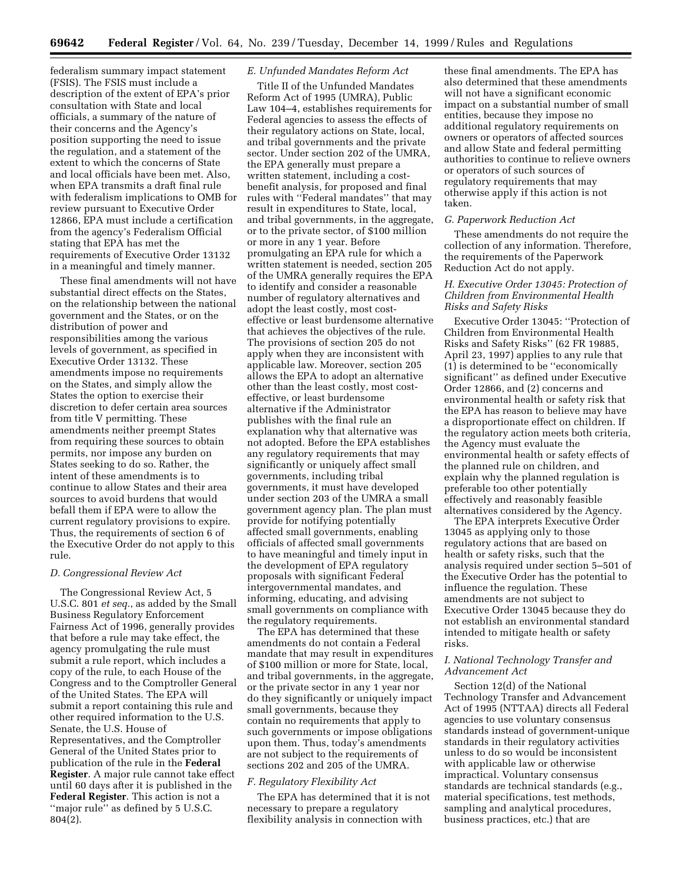federalism summary impact statement (FSIS). The FSIS must include a description of the extent of EPA's prior consultation with State and local officials, a summary of the nature of their concerns and the Agency's position supporting the need to issue the regulation, and a statement of the extent to which the concerns of State and local officials have been met. Also, when EPA transmits a draft final rule with federalism implications to OMB for review pursuant to Executive Order 12866, EPA must include a certification from the agency's Federalism Official stating that EPA has met the requirements of Executive Order 13132 in a meaningful and timely manner.

These final amendments will not have substantial direct effects on the States, on the relationship between the national government and the States, or on the distribution of power and responsibilities among the various levels of government, as specified in Executive Order 13132. These amendments impose no requirements on the States, and simply allow the States the option to exercise their discretion to defer certain area sources from title V permitting. These amendments neither preempt States from requiring these sources to obtain permits, nor impose any burden on States seeking to do so. Rather, the intent of these amendments is to continue to allow States and their area sources to avoid burdens that would befall them if EPA were to allow the current regulatory provisions to expire. Thus, the requirements of section 6 of the Executive Order do not apply to this rule.

#### *D. Congressional Review Act*

The Congressional Review Act, 5 U.S.C. 801 *et seq.*, as added by the Small Business Regulatory Enforcement Fairness Act of 1996, generally provides that before a rule may take effect, the agency promulgating the rule must submit a rule report, which includes a copy of the rule, to each House of the Congress and to the Comptroller General of the United States. The EPA will submit a report containing this rule and other required information to the U.S. Senate, the U.S. House of Representatives, and the Comptroller General of the United States prior to publication of the rule in the **Federal Register**. A major rule cannot take effect until 60 days after it is published in the **Federal Register**. This action is not a ''major rule'' as defined by 5 U.S.C. 804(2).

# *E. Unfunded Mandates Reform Act*

Title II of the Unfunded Mandates Reform Act of 1995 (UMRA), Public Law 104–4, establishes requirements for Federal agencies to assess the effects of their regulatory actions on State, local, and tribal governments and the private sector. Under section 202 of the UMRA, the EPA generally must prepare a written statement, including a costbenefit analysis, for proposed and final rules with ''Federal mandates'' that may result in expenditures to State, local, and tribal governments, in the aggregate, or to the private sector, of \$100 million or more in any 1 year. Before promulgating an EPA rule for which a written statement is needed, section 205 of the UMRA generally requires the EPA to identify and consider a reasonable number of regulatory alternatives and adopt the least costly, most costeffective or least burdensome alternative that achieves the objectives of the rule. The provisions of section 205 do not apply when they are inconsistent with applicable law. Moreover, section 205 allows the EPA to adopt an alternative other than the least costly, most costeffective, or least burdensome alternative if the Administrator publishes with the final rule an explanation why that alternative was not adopted. Before the EPA establishes any regulatory requirements that may significantly or uniquely affect small governments, including tribal governments, it must have developed under section 203 of the UMRA a small government agency plan. The plan must provide for notifying potentially affected small governments, enabling officials of affected small governments to have meaningful and timely input in the development of EPA regulatory proposals with significant Federal intergovernmental mandates, and informing, educating, and advising small governments on compliance with the regulatory requirements.

The EPA has determined that these amendments do not contain a Federal mandate that may result in expenditures of \$100 million or more for State, local, and tribal governments, in the aggregate, or the private sector in any 1 year nor do they significantly or uniquely impact small governments, because they contain no requirements that apply to such governments or impose obligations upon them. Thus, today's amendments are not subject to the requirements of sections 202 and 205 of the UMRA.

#### *F. Regulatory Flexibility Act*

The EPA has determined that it is not necessary to prepare a regulatory flexibility analysis in connection with

these final amendments. The EPA has also determined that these amendments will not have a significant economic impact on a substantial number of small entities, because they impose no additional regulatory requirements on owners or operators of affected sources and allow State and federal permitting authorities to continue to relieve owners or operators of such sources of regulatory requirements that may otherwise apply if this action is not taken.

#### *G. Paperwork Reduction Act*

These amendments do not require the collection of any information. Therefore, the requirements of the Paperwork Reduction Act do not apply.

## *H. Executive Order 13045: Protection of Children from Environmental Health Risks and Safety Risks*

Executive Order 13045: ''Protection of Children from Environmental Health Risks and Safety Risks'' (62 FR 19885, April 23, 1997) applies to any rule that (1) is determined to be ''economically significant'' as defined under Executive Order 12866, and (2) concerns and environmental health or safety risk that the EPA has reason to believe may have a disproportionate effect on children. If the regulatory action meets both criteria, the Agency must evaluate the environmental health or safety effects of the planned rule on children, and explain why the planned regulation is preferable too other potentially effectively and reasonably feasible alternatives considered by the Agency.

The EPA interprets Executive Order 13045 as applying only to those regulatory actions that are based on health or safety risks, such that the analysis required under section 5–501 of the Executive Order has the potential to influence the regulation. These amendments are not subject to Executive Order 13045 because they do not establish an environmental standard intended to mitigate health or safety risks.

## *I. National Technology Transfer and Advancement Act*

Section 12(d) of the National Technology Transfer and Advancement Act of 1995 (NTTAA) directs all Federal agencies to use voluntary consensus standards instead of government-unique standards in their regulatory activities unless to do so would be inconsistent with applicable law or otherwise impractical. Voluntary consensus standards are technical standards (e.g., material specifications, test methods, sampling and analytical procedures, business practices, etc.) that are